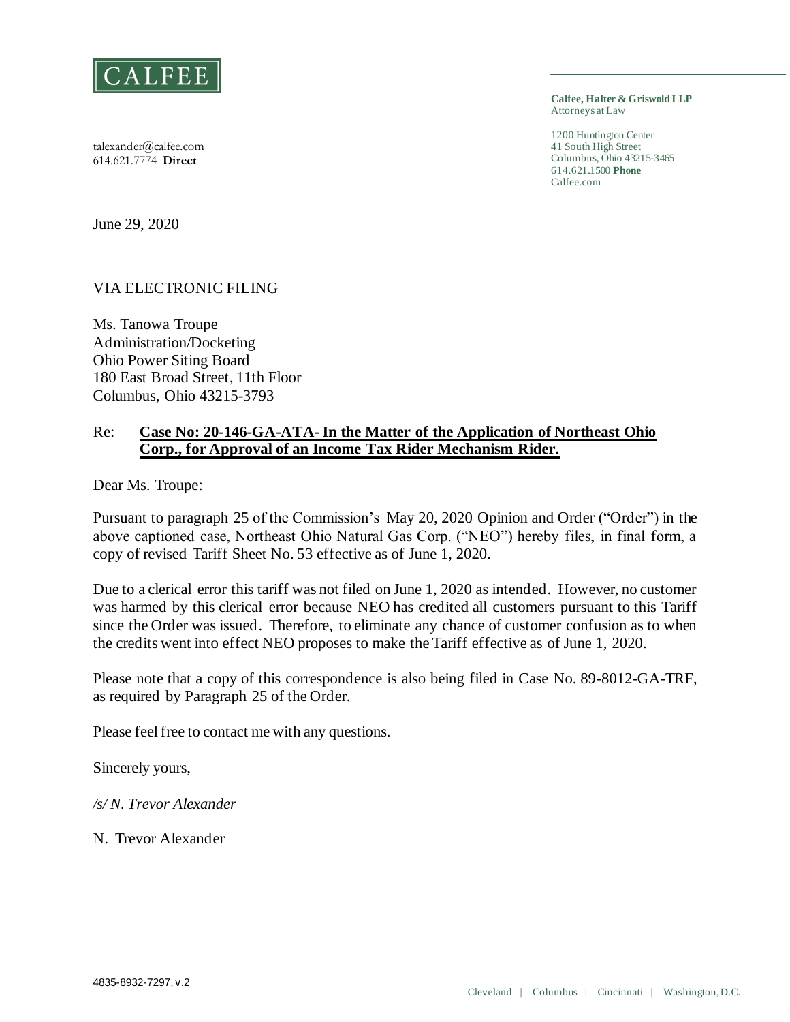

talexander@calfee.com 614.621.7774 **Direct**

**Calfee, Halter & Griswold LLP** Attorneys at Law

1200 Huntington Center 41 South High Street Columbus, Ohio 43215-3465 614.621.1500 **Phone** Calfee.com

June 29, 2020

VIA ELECTRONIC FILING

Ms. Tanowa Troupe Administration/Docketing Ohio Power Siting Board 180 East Broad Street, 11th Floor Columbus, Ohio 43215-3793

## Re: **Case No: 20-146-GA-ATA-In the Matter of the Application of Northeast Ohio Corp., for Approval of an Income Tax Rider Mechanism Rider.**

Dear Ms. Troupe:

Pursuant to paragraph 25 of the Commission's May 20, 2020 Opinion and Order ("Order") in the above captioned case, Northeast Ohio Natural Gas Corp. ("NEO") hereby files, in final form, a copy of revised Tariff Sheet No. 53 effective as of June 1, 2020.

Due to a clerical error this tariff was not filed on June 1, 2020 as intended. However, no customer was harmed by this clerical error because NEO has credited all customers pursuant to this Tariff since the Order was issued. Therefore, to eliminate any chance of customer confusion as to when the credits went into effect NEO proposes to make the Tariff effective as of June 1, 2020.

Please note that a copy of this correspondence is also being filed in Case No. 89-8012-GA-TRF, as required by Paragraph 25 of the Order.

Please feel free to contact me with any questions.

Sincerely yours,

*/s/ N. Trevor Alexander*

N. Trevor Alexander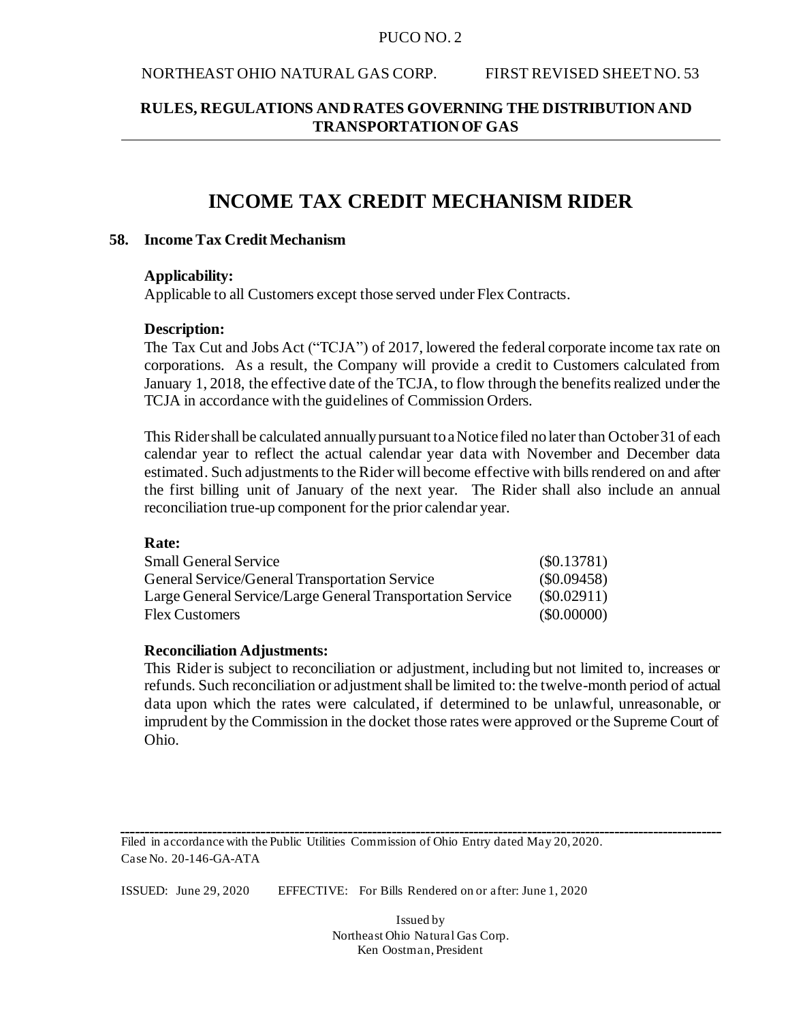#### PUCO NO. 2

### NORTHEAST OHIO NATURAL GAS CORP. FIRST REVISED SHEET NO. 53

## **RULES, REGULATIONS AND RATES GOVERNING THE DISTRIBUTION AND TRANSPORTATION OF GAS**

# **INCOME TAX CREDIT MECHANISM RIDER**

#### **58. Income Tax Credit Mechanism**

#### **Applicability:**

Applicable to all Customers except those served under Flex Contracts.

### **Description:**

The Tax Cut and Jobs Act ("TCJA") of 2017, lowered the federal corporate income tax rate on corporations. As a result, the Company will provide a credit to Customers calculated from January 1, 2018, the effective date of the TCJA, to flow through the benefits realized under the TCJA in accordance with the guidelines of Commission Orders.

This Rider shall be calculated annually pursuant to a Notice filed no later than October 31 of each calendar year to reflect the actual calendar year data with November and December data estimated. Such adjustments to the Rider will become effective with bills rendered on and after the first billing unit of January of the next year. The Rider shall also include an annual reconciliation true-up component for the prior calendar year.

#### **Rate:**

| <b>Small General Service</b>                               | $(\$0.13781)$ |
|------------------------------------------------------------|---------------|
| General Service/General Transportation Service             | $(\$0.09458)$ |
| Large General Service/Large General Transportation Service | $(\$0.02911)$ |
| <b>Flex Customers</b>                                      | $(\$0.00000)$ |

#### **Reconciliation Adjustments:**

This Rider is subject to reconciliation or adjustment, including but not limited to, increases or refunds. Such reconciliation or adjustment shall be limited to: the twelve-month period of actual data upon which the rates were calculated, if determined to be unlawful, unreasonable, or imprudent by the Commission in the docket those rates were approved or the Supreme Court of Ohio.

Filed in accordance with the Public Utilities Commission of Ohio Entry dated May 20, 2020. Case No. 20-146-GA-ATA

ISSUED: June 29, 2020 EFFECTIVE: For Bills Rendered on or after: June 1, 2020

Issued by Northeast Ohio Natural Gas Corp. Ken Oostman, President